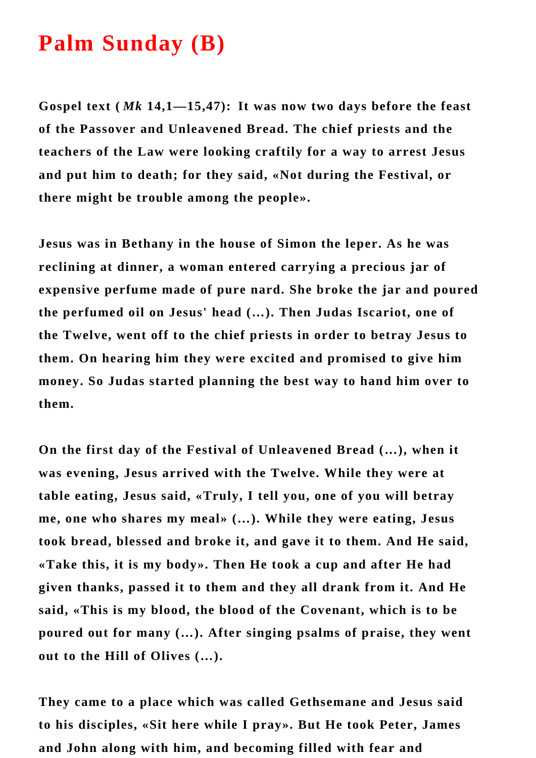## **Palm Sunday (B)**

**Gospel text (** *Mk* **14,1—15,47): It was now two days before the feast of the Passover and Unleavened Bread. The chief priests and the teachers of the Law were looking craftily for a way to arrest Jesus and put him to death; for they said, «Not during the Festival, or there might be trouble among the people».**

**Jesus was in Bethany in the house of Simon the leper. As he was reclining at dinner, a woman entered carrying a precious jar of expensive perfume made of pure nard. She broke the jar and poured the perfumed oil on Jesus' head (…). Then Judas Iscariot, one of the Twelve, went off to the chief priests in order to betray Jesus to them. On hearing him they were excited and promised to give him money. So Judas started planning the best way to hand him over to them.**

**On the first day of the Festival of Unleavened Bread (…), when it was evening, Jesus arrived with the Twelve. While they were at table eating, Jesus said, «Truly, I tell you, one of you will betray me, one who shares my meal» (…). While they were eating, Jesus took bread, blessed and broke it, and gave it to them. And He said, «Take this, it is my body». Then He took a cup and after He had given thanks, passed it to them and they all drank from it. And He said, «This is my blood, the blood of the Covenant, which is to be poured out for many (…). After singing psalms of praise, they went out to the Hill of Olives (…).** 

**They came to a place which was called Gethsemane and Jesus said to his disciples, «Sit here while I pray». But He took Peter, James and John along with him, and becoming filled with fear and**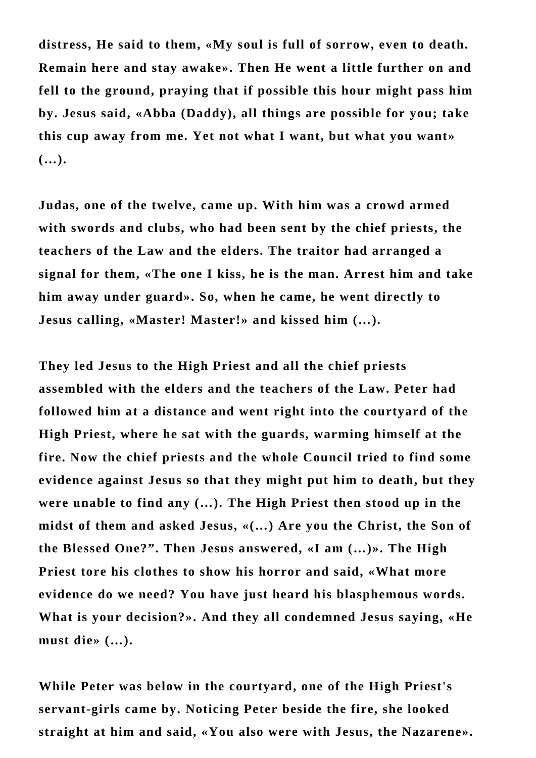**distress, He said to them, «My soul is full of sorrow, even to death. Remain here and stay awake». Then He went a little further on and fell to the ground, praying that if possible this hour might pass him by. Jesus said, «Abba (Daddy), all things are possible for you; take this cup away from me. Yet not what I want, but what you want» (…).** 

**Judas, one of the twelve, came up. With him was a crowd armed with swords and clubs, who had been sent by the chief priests, the teachers of the Law and the elders. The traitor had arranged a signal for them, «The one I kiss, he is the man. Arrest him and take him away under guard». So, when he came, he went directly to Jesus calling, «Master! Master!» and kissed him (…).** 

**They led Jesus to the High Priest and all the chief priests assembled with the elders and the teachers of the Law. Peter had followed him at a distance and went right into the courtyard of the High Priest, where he sat with the guards, warming himself at the fire. Now the chief priests and the whole Council tried to find some evidence against Jesus so that they might put him to death, but they were unable to find any (…). The High Priest then stood up in the midst of them and asked Jesus, «(…) Are you the Christ, the Son of the Blessed One?". Then Jesus answered, «I am (…)». The High Priest tore his clothes to show his horror and said, «What more evidence do we need? You have just heard his blasphemous words. What is your decision?». And they all condemned Jesus saying, «He must die» (…).** 

**While Peter was below in the courtyard, one of the High Priest's servant-girls came by. Noticing Peter beside the fire, she looked straight at him and said, «You also were with Jesus, the Nazarene».**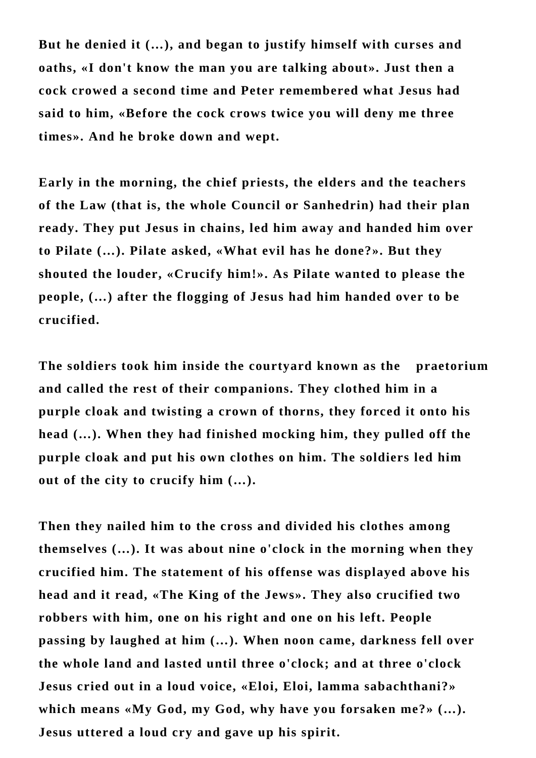**But he denied it (…), and began to justify himself with curses and oaths, «I don't know the man you are talking about». Just then a cock crowed a second time and Peter remembered what Jesus had said to him, «Before the cock crows twice you will deny me three times». And he broke down and wept.**

**Early in the morning, the chief priests, the elders and the teachers of the Law (that is, the whole Council or Sanhedrin) had their plan ready. They put Jesus in chains, led him away and handed him over to Pilate (…). Pilate asked, «What evil has he done?». But they shouted the louder, «Crucify him!». As Pilate wanted to please the people, (…) after the flogging of Jesus had him handed over to be crucified.** 

**The soldiers took him inside the courtyard known as the praetorium and called the rest of their companions. They clothed him in a purple cloak and twisting a crown of thorns, they forced it onto his head (…). When they had finished mocking him, they pulled off the purple cloak and put his own clothes on him. The soldiers led him out of the city to crucify him (…).** 

**Then they nailed him to the cross and divided his clothes among themselves (…). It was about nine o'clock in the morning when they crucified him. The statement of his offense was displayed above his head and it read, «The King of the Jews». They also crucified two robbers with him, one on his right and one on his left. People passing by laughed at him (…). When noon came, darkness fell over the whole land and lasted until three o'clock; and at three o'clock Jesus cried out in a loud voice, «Eloi, Eloi, lamma sabachthani?» which means «My God, my God, why have you forsaken me?» (…). Jesus uttered a loud cry and gave up his spirit.**